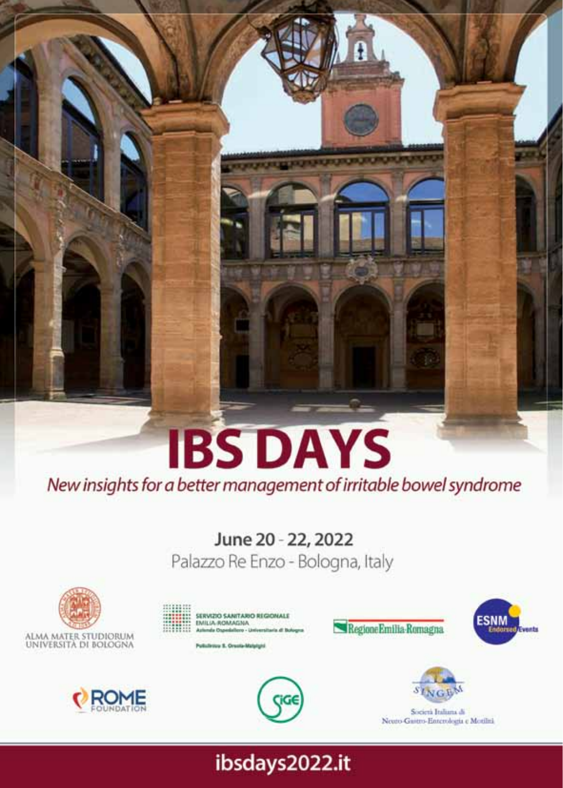# **IBS DAYS** New insights for a better management of irritable bowel syndrome

## June 20 - 22, 2022

Palazzo Re Enzo - Bologna, Italy



**ROME** 









Regione Emilia Romagna

**ESNM** 

Società Italiana di Neuto-Gastro-Enterologia e Motilità

### ibsdays2022.it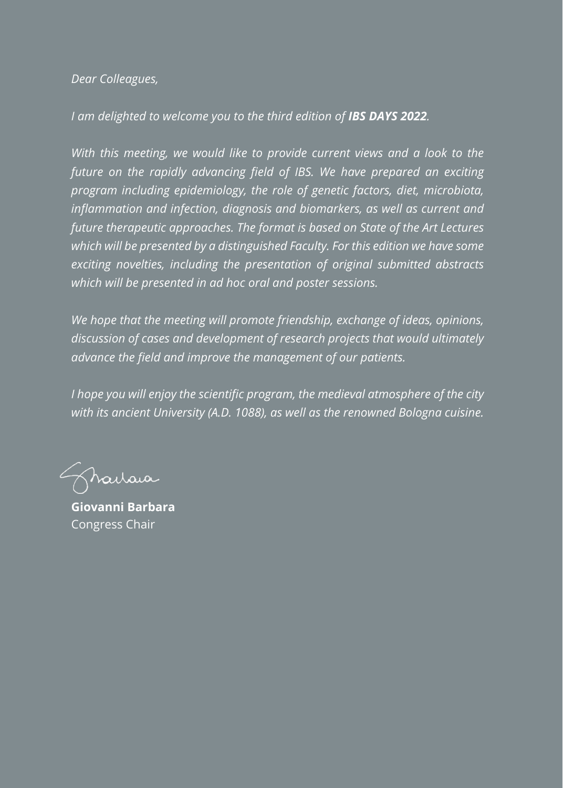*Dear Colleagues,*

*I am delighted to welcome you to the third edition of IBS DAYS 2022.*

*With this meeting, we would like to provide current views and a look to the future on the rapidly advancing field of IBS. We have prepared an exciting program including epidemiology, the role of genetic factors, diet, microbiota, inflammation and infection, diagnosis and biomarkers, as well as current and future therapeutic approaches. The format is based on State of the Art Lectures which will be presented by a distinguished Faculty. For this edition we have some exciting novelties, including the presentation of original submitted abstracts which will be presented in ad hoc oral and poster sessions.*

*We hope that the meeting will promote friendship, exchange of ideas, opinions, discussion of cases and development of research projects that would ultimately advance the field and improve the management of our patients.*

*I hope you will enjoy the scientific program, the medieval atmosphere of the city with its ancient University (A.D. 1088), as well as the renowned Bologna cuisine.*

harraia

**Giovanni Barbara** Congress Chair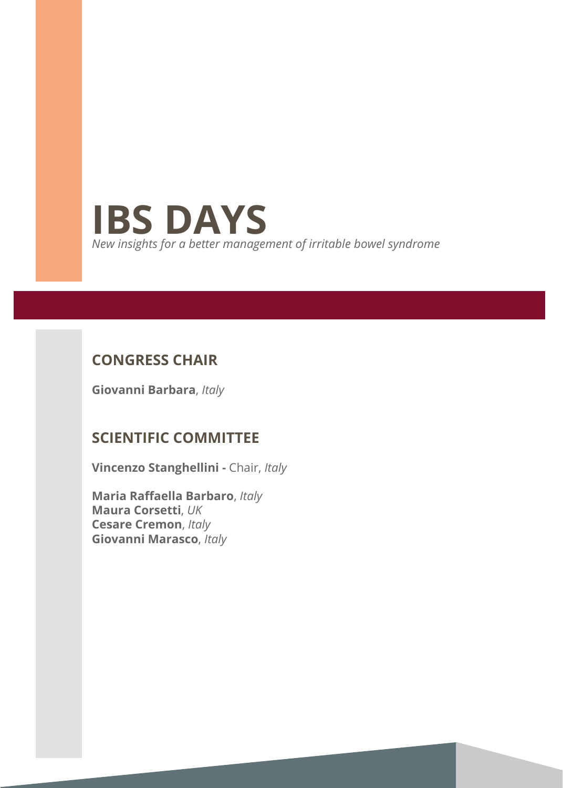

#### **Congress Chair**

**Giovanni Barbara**, *Italy*

#### **Scientific Committee**

**Vincenzo Stanghellini -** Chair, *Italy*

**Maria Raffaella Barbaro**, *Italy* **Maura Corsetti**, *UK*  **Cesare Cremon**, *Italy* **Giovanni Marasco**, *Italy*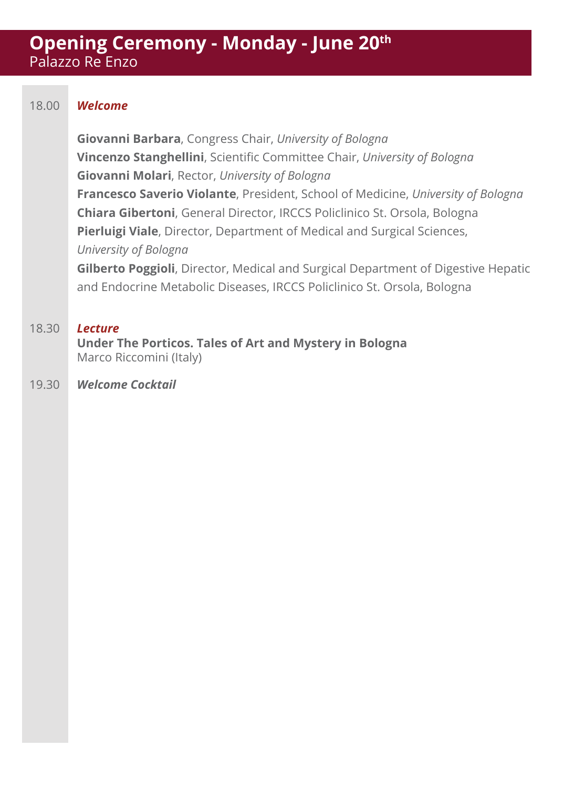#### **Opening Ceremony - Monday - June 20th** Palazzo Re Enzo

#### 18.00 *Welcome*

**Giovanni Barbara**, Congress Chair, *University of Bologna* **Vincenzo Stanghellini**, Scientific Committee Chair, *University of Bologna*  **Giovanni Molari**, Rector, *University of Bologna* **Francesco Saverio Violante**, President, School of Medicine, *University of Bologna* **Chiara Gibertoni**, General Director, IRCCS Policlinico St. Orsola, Bologna **Pierluigi Viale**, Director, Department of Medical and Surgical Sciences, *University of Bologna*

**Gilberto Poggioli**, Director, Medical and Surgical Department of Digestive Hepatic and Endocrine Metabolic Diseases, IRCCS Policlinico St. Orsola, Bologna

#### 18.30 *Lecture*

**Under The Porticos. Tales of Art and Mystery in Bologna** Marco Riccomini (Italy)

#### 19.30 *Welcome Cocktail*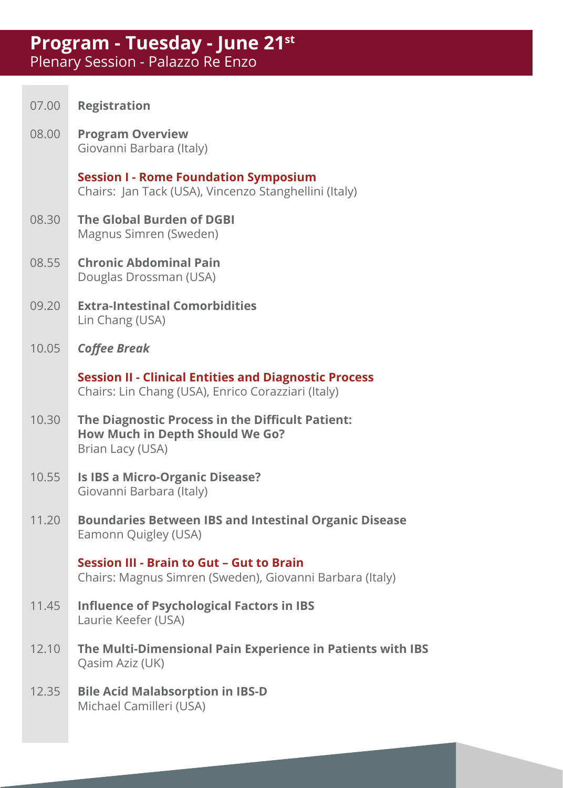#### **Program - Tuesday - June 21st** Plenary Session - Palazzo Re Enzo

| 07.00 | <b>Registration</b>                                                                                                |
|-------|--------------------------------------------------------------------------------------------------------------------|
| 08.00 | <b>Program Overview</b><br>Giovanni Barbara (Italy)                                                                |
|       | <b>Session I - Rome Foundation Symposium</b><br>Chairs: Jan Tack (USA), Vincenzo Stanghellini (Italy)              |
| 08.30 | The Global Burden of DGBI<br>Magnus Simren (Sweden)                                                                |
| 08.55 | <b>Chronic Abdominal Pain</b><br>Douglas Drossman (USA)                                                            |
| 09.20 | <b>Extra-Intestinal Comorbidities</b><br>Lin Chang (USA)                                                           |
| 10.05 | <b>Coffee Break</b>                                                                                                |
|       | <b>Session II - Clinical Entities and Diagnostic Process</b><br>Chairs: Lin Chang (USA), Enrico Corazziari (Italy) |
| 10.30 | The Diagnostic Process in the Difficult Patient:<br>How Much in Depth Should We Go?<br>Brian Lacy (USA)            |
| 10.55 | Is IBS a Micro-Organic Disease?<br>Giovanni Barbara (Italy)                                                        |
| 11.20 | <b>Boundaries Between IBS and Intestinal Organic Disease</b><br>Eamonn Quigley (USA)                               |
|       | Session III - Brain to Gut - Gut to Brain<br>Chairs: Magnus Simren (Sweden), Giovanni Barbara (Italy)              |
| 11.45 | <b>Influence of Psychological Factors in IBS</b><br>Laurie Keefer (USA)                                            |
| 12.10 | The Multi-Dimensional Pain Experience in Patients with IBS<br>Qasim Aziz (UK)                                      |
| 12.35 | <b>Bile Acid Malabsorption in IBS-D</b><br>Michael Camilleri (USA)                                                 |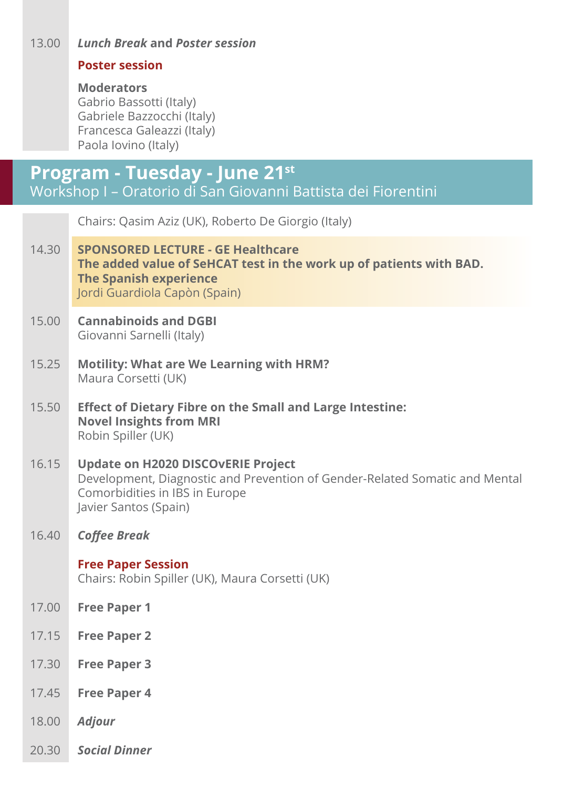#### 13.00 *Lunch Break* **and** *Poster session*

#### **Poster session**

#### **Moderators**

Gabrio Bassotti (Italy) Gabriele Bazzocchi (Italy) Francesca Galeazzi (Italy) Paola Iovino (Italy)

#### **Program - Tuesday - June 21st** Workshop I – Oratorio di San Giovanni Battista dei Fiorentini

|       | Chairs: Qasim Aziz (UK), Roberto De Giorgio (Italy)                                                                                                                                 |
|-------|-------------------------------------------------------------------------------------------------------------------------------------------------------------------------------------|
| 14.30 | <b>SPONSORED LECTURE - GE Healthcare</b><br>The added value of SeHCAT test in the work up of patients with BAD.<br><b>The Spanish experience</b><br>Jordi Guardiola Capòn (Spain)   |
| 15.00 | <b>Cannabinoids and DGBI</b><br>Giovanni Sarnelli (Italy)                                                                                                                           |
| 15.25 | <b>Motility: What are We Learning with HRM?</b><br>Maura Corsetti (UK)                                                                                                              |
| 15.50 | <b>Effect of Dietary Fibre on the Small and Large Intestine:</b><br><b>Novel Insights from MRI</b><br>Robin Spiller (UK)                                                            |
| 16.15 | <b>Update on H2020 DISCOVERIE Project</b><br>Development, Diagnostic and Prevention of Gender-Related Somatic and Mental<br>Comorbidities in IBS in Europe<br>Javier Santos (Spain) |
| 16.40 | <b>Coffee Break</b>                                                                                                                                                                 |
|       | <b>Free Paper Session</b><br>Chairs: Robin Spiller (UK), Maura Corsetti (UK)                                                                                                        |
| 17.00 | <b>Free Paper 1</b>                                                                                                                                                                 |
| 17.15 | <b>Free Paper 2</b>                                                                                                                                                                 |
| 17.30 | <b>Free Paper 3</b>                                                                                                                                                                 |
| 17.45 | <b>Free Paper 4</b>                                                                                                                                                                 |
| 18.00 | <b>Adjour</b>                                                                                                                                                                       |
| 20.30 | <b>Social Dinner</b>                                                                                                                                                                |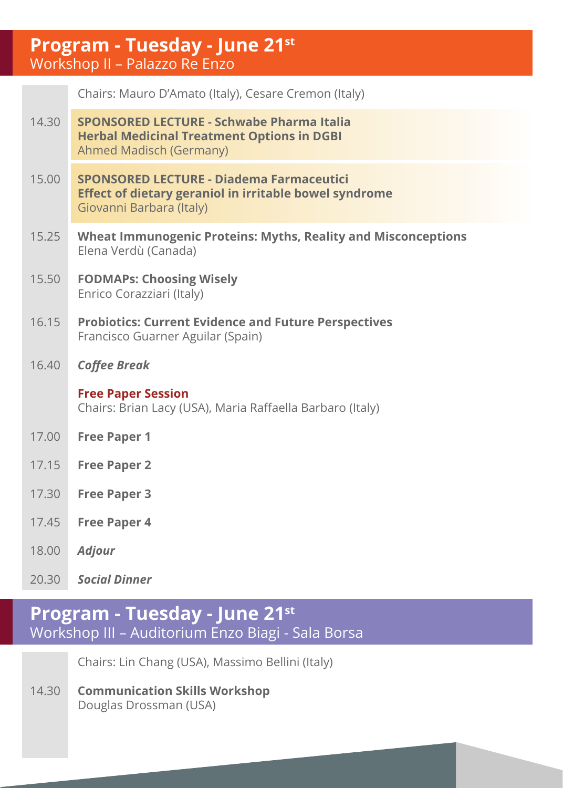#### **Program - Tuesday - June 21st** Workshop II – Palazzo Re Enzo

|       | Chairs: Mauro D'Amato (Italy), Cesare Cremon (Italy)                                                                                         |
|-------|----------------------------------------------------------------------------------------------------------------------------------------------|
| 14.30 | SPONSORED LECTURE - Schwabe Pharma Italia<br><b>Herbal Medicinal Treatment Options in DGBI</b><br>Ahmed Madisch (Germany)                    |
| 15.00 | <b>SPONSORED LECTURE - Diadema Farmaceutici</b><br><b>Effect of dietary geraniol in irritable bowel syndrome</b><br>Giovanni Barbara (Italy) |
| 15.25 | Wheat Immunogenic Proteins: Myths, Reality and Misconceptions<br>Elena Verdù (Canada)                                                        |
| 15.50 | <b>FODMAPs: Choosing Wisely</b><br>Enrico Corazziari (Italy)                                                                                 |
| 16.15 | <b>Probiotics: Current Evidence and Future Perspectives</b><br>Francisco Guarner Aguilar (Spain)                                             |
| 16.40 | <b>Coffee Break</b>                                                                                                                          |
|       | <b>Free Paper Session</b><br>Chairs: Brian Lacy (USA), Maria Raffaella Barbaro (Italy)                                                       |
| 17.00 | <b>Free Paper 1</b>                                                                                                                          |
| 17.15 | <b>Free Paper 2</b>                                                                                                                          |
| 17.30 | <b>Free Paper 3</b>                                                                                                                          |
| 17.45 | <b>Free Paper 4</b>                                                                                                                          |
| 18.00 | Adjour                                                                                                                                       |

20.30 *Social Dinner* 

### **Program - Tuesday - June 21st** Workshop III – Auditorium Enzo Biagi - Sala Borsa

Chairs: Lin Chang (USA), Massimo Bellini (Italy)

14.30 **Communication Skills Workshop** Douglas Drossman (USA)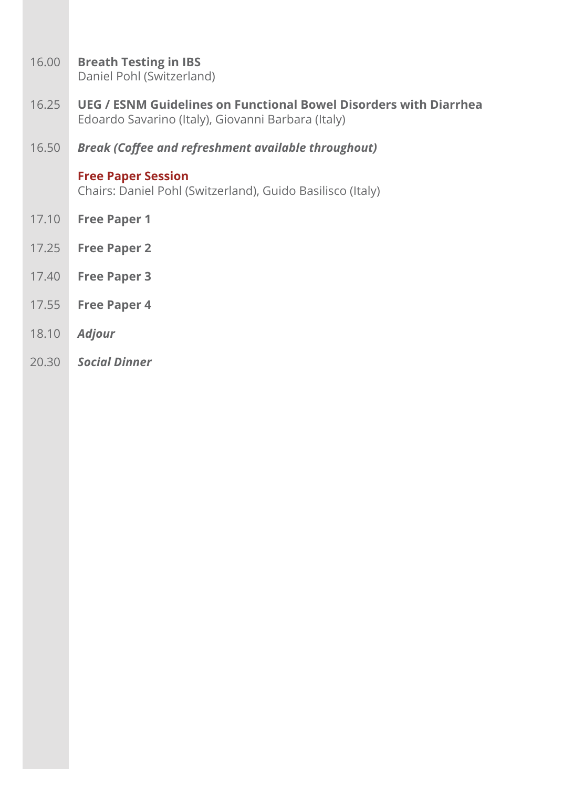16.00 **Breath Testing in IBS**

Daniel Pohl (Switzerland)

- 16.25 **UEG / ESNM Guidelines on Functional Bowel Disorders with Diarrhea**  Edoardo Savarino (Italy), Giovanni Barbara (Italy)
- 16.50 *Break (Coffee and refreshment available throughout)*

#### **Free Paper Session**

Chairs: Daniel Pohl (Switzerland), Guido Basilisco (Italy)

- 17.10 **Free Paper 1**
- 17.25 **Free Paper 2**
- 17.40 **Free Paper 3**
- 17.55 **Free Paper 4**
- 18.10 *Adjour*
- 20.30 *Social Dinner*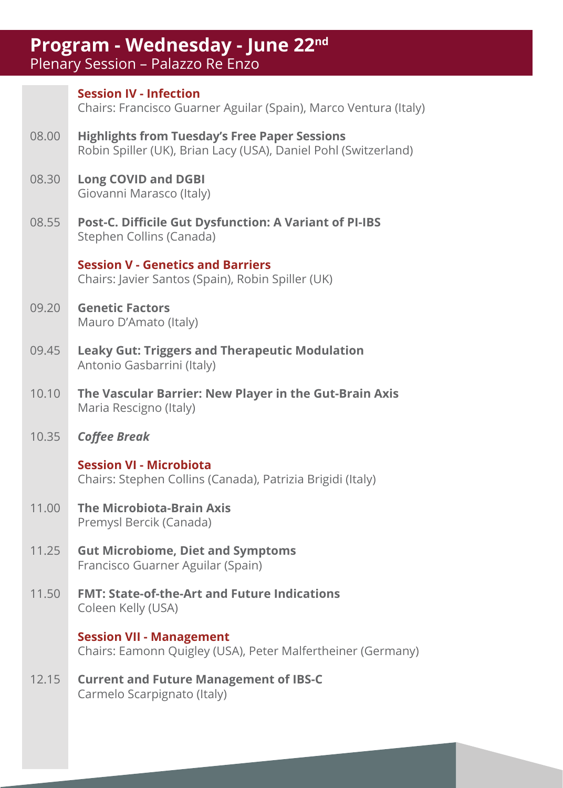### **Program - Wednesday - June 22nd**

Plenary Session – Palazzo Re Enzo

|       | <b>Session IV - Infection</b><br>Chairs: Francisco Guarner Aguilar (Spain), Marco Ventura (Italy)                       |  |
|-------|-------------------------------------------------------------------------------------------------------------------------|--|
| 08.00 | <b>Highlights from Tuesday's Free Paper Sessions</b><br>Robin Spiller (UK), Brian Lacy (USA), Daniel Pohl (Switzerland) |  |
| 08.30 | <b>Long COVID and DGBI</b><br>Giovanni Marasco (Italy)                                                                  |  |
| 08.55 | Post-C. Difficile Gut Dysfunction: A Variant of PI-IBS<br>Stephen Collins (Canada)                                      |  |
|       | <b>Session V - Genetics and Barriers</b><br>Chairs: Javier Santos (Spain), Robin Spiller (UK)                           |  |
| 09.20 | <b>Genetic Factors</b><br>Mauro D'Amato (Italy)                                                                         |  |
| 09.45 | <b>Leaky Gut: Triggers and Therapeutic Modulation</b><br>Antonio Gasbarrini (Italy)                                     |  |
| 10.10 | The Vascular Barrier: New Player in the Gut-Brain Axis<br>Maria Rescigno (Italy)                                        |  |
| 10.35 | <b>Coffee Break</b>                                                                                                     |  |
|       | <b>Session VI - Microbiota</b><br>Chairs: Stephen Collins (Canada), Patrizia Brigidi (Italy)                            |  |
| 11.00 | <b>The Microbiota-Brain Axis</b><br>Premysl Bercik (Canada)                                                             |  |
| 11.25 | <b>Gut Microbiome, Diet and Symptoms</b><br>Francisco Guarner Aguilar (Spain)                                           |  |
| 11.50 | <b>FMT: State-of-the-Art and Future Indications</b><br>Coleen Kelly (USA)                                               |  |
|       | <b>Session VII - Management</b><br>Chairs: Eamonn Quigley (USA), Peter Malfertheiner (Germany)                          |  |
| 12.15 | <b>Current and Future Management of IBS-C</b><br>Carmelo Scarpignato (Italy)                                            |  |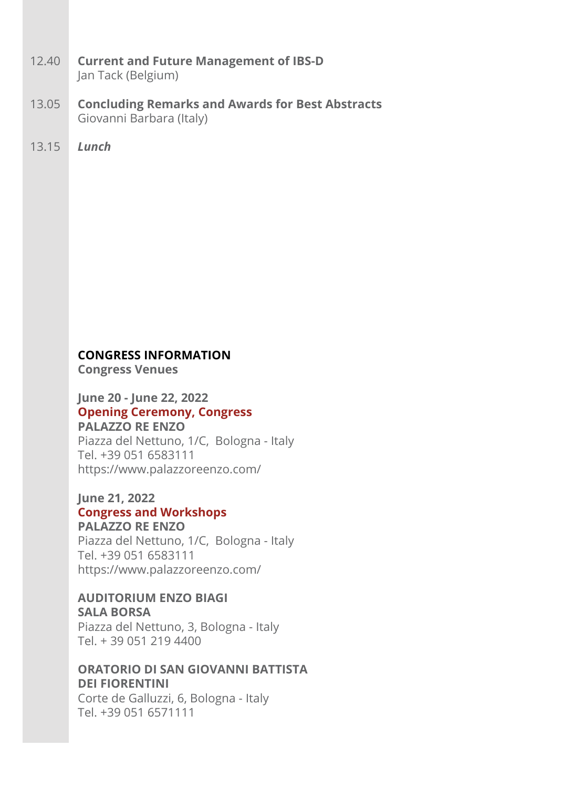- 12.40 **Current and Future Management of IBS-D** Jan Tack (Belgium)
- 13.05 **Concluding Remarks and Awards for Best Abstracts** Giovanni Barbara (Italy)
- 13.15 *Lunch*

#### **CONGRESS INFORMATION**

**Congress Venues**

#### **June 20 - June 22, 2022 Opening Ceremony, Congress Palazzo Re Enzo**

Piazza del Nettuno, 1/C, Bologna - Italy Tel. +39 051 6583111 https://www.palazzoreenzo.com/

#### **June 21, 2022 Congress and Workshops**

#### **Palazzo Re Enzo**

Piazza del Nettuno, 1/C, Bologna - Italy Tel. +39 051 6583111 https://www.palazzoreenzo.com/

#### **Auditorium Enzo Biagi Sala Borsa**

Piazza del Nettuno, 3, Bologna - Italy Tel. + 39 051 219 4400

#### **Oratorio di San Giovanni Battista dei Fiorentini**

Corte de Galluzzi, 6, Bologna - Italy Tel. +39 051 6571111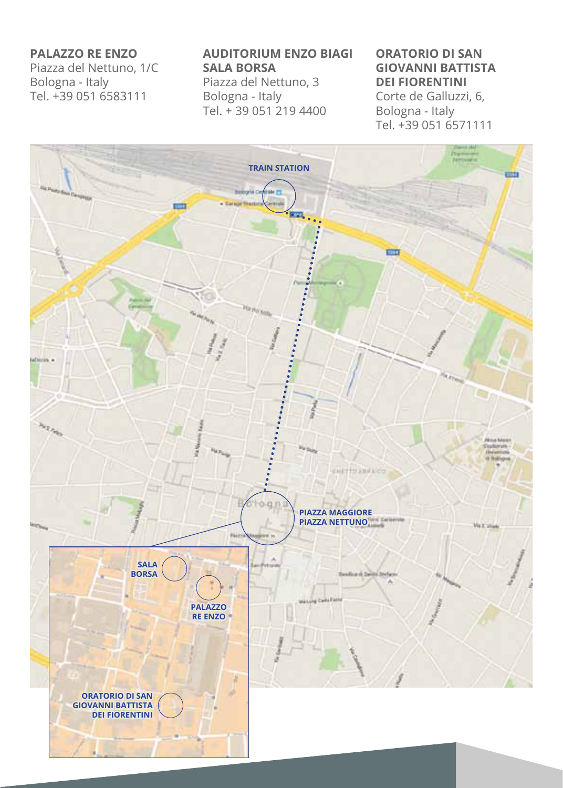#### **Palazzo Re Enzo**

Piazza del Nettuno, 1/C Bologna - Italy Tel. +39 051 6583111

#### **Auditorium Enzo Biagi Sala Borsa**

Piazza del Nettuno, 3 Bologna - Italy Tel. + 39 051 219 4400

#### **Oratorio di San Giovanni Battista dei Fiorentini**

Corte de Galluzzi, 6, Bologna - Italy Tel. +39 051 6571111

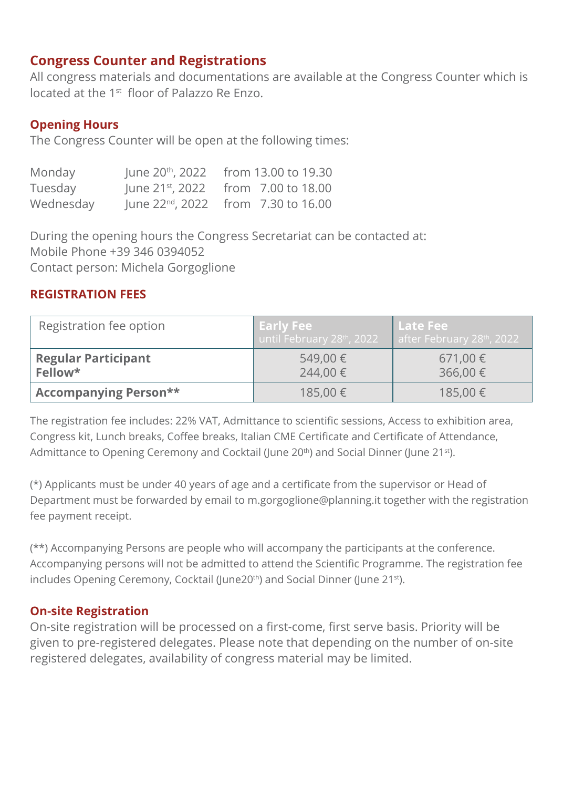#### **Congress Counter and Registrations**

All congress materials and documentations are available at the Congress Counter which is located at the 1st floor of Palazzo Re Enzo.

#### **Opening Hours**

The Congress Counter will be open at the following times:

| Monday    | June 20 <sup>th</sup> , 2022 | from 13.00 to 19.30                             |
|-----------|------------------------------|-------------------------------------------------|
| Tuesday   |                              | June 21 <sup>st</sup> , 2022 from 7.00 to 18.00 |
| Wednesday |                              | June $22^{nd}$ , $2022$ from 7.30 to 16.00      |

During the opening hours the Congress Secretariat can be contacted at: Mobile Phone +39 346 0394052 Contact person: Michela Gorgoglione

#### **REGISTRATION FEES**

| Registration fee option               | <b>Early Fee</b><br>until February 28th, 2022 | l Late Fee '<br>after February 28th, 2022 |
|---------------------------------------|-----------------------------------------------|-------------------------------------------|
| <b>Regular Participant</b><br>Fellow* | 549,00€<br>244.00€                            | 671,00 €<br>$366,00 \in$                  |
| <b>Accompanying Person**</b>          | 185,00 €                                      | 185,00 €                                  |

The registration fee includes: 22% VAT, Admittance to scientific sessions, Access to exhibition area, Congress kit, Lunch breaks, Coffee breaks, Italian CME Certificate and Certificate of Attendance, Admittance to Opening Ceremony and Cocktail (June 20<sup>th</sup>) and Social Dinner (June 21<sup>st</sup>).

(\*) Applicants must be under 40 years of age and a certificate from the supervisor or Head of Department must be forwarded by email to m.gorgoglione@planning.it together with the registration fee payment receipt.

(\*\*) Accompanying Persons are people who will accompany the participants at the conference. Accompanying persons will not be admitted to attend the Scientific Programme. The registration fee includes Opening Ceremony, Cocktail (June20<sup>th</sup>) and Social Dinner (June 21<sup>st</sup>).

#### **On-site Registration**

On-site registration will be processed on a first-come, first serve basis. Priority will be given to pre-registered delegates. Please note that depending on the number of on-site registered delegates, availability of congress material may be limited.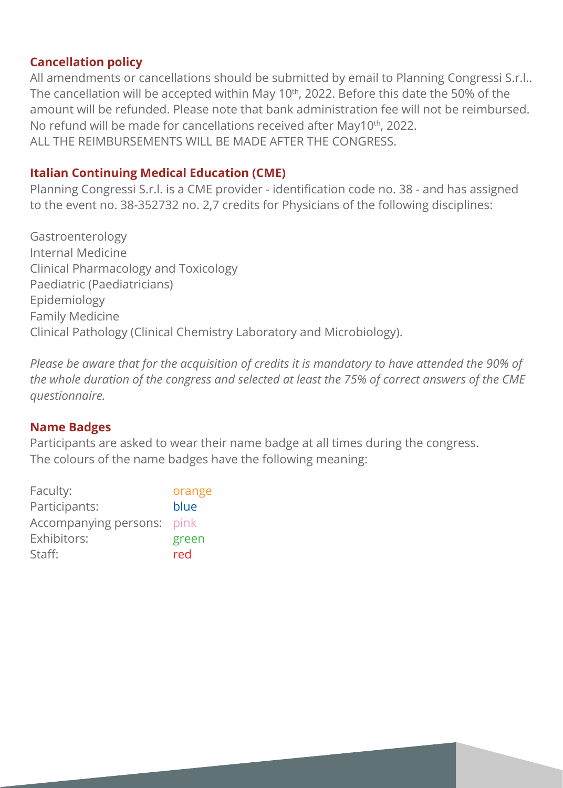#### **Cancellation policy**

All amendments or cancellations should be submitted by email to Planning Congressi S.r.l.. The cancellation will be accepted within May 10<sup>th</sup>, 2022. Before this date the 50% of the amount will be refunded. Please note that bank administration fee will not be reimbursed. No refund will be made for cancellations received after May10th, 2022. ALL THE REIMBURSEMENTS WILL BE MADE AFTER THE CONGRESS.

#### **Italian Continuing Medical Education (CME)**

Planning Congressi S.r.l. is a CME provider - identification code no. 38 - and has assigned to the event no. 38-352732 no. 2,7 credits for Physicians of the following disciplines:

Gastroenterology Internal Medicine Clinical Pharmacology and Toxicology Paediatric (Paediatricians) Epidemiology Family Medicine Clinical Pathology (Clinical Chemistry Laboratory and Microbiology).

*Please be aware that for the acquisition of credits it is mandatory to have attended the 90% of the whole duration of the congress and selected at least the 75% of correct answers of the CME questionnaire.*

#### **Name Badges**

Participants are asked to wear their name badge at all times during the congress. The colours of the name badges have the following meaning:

| Faculty:              | orange |
|-----------------------|--------|
| Participants:         | blue   |
| Accompanying persons: | pink   |
| Exhibitors:           | green  |
| Staff:                | red    |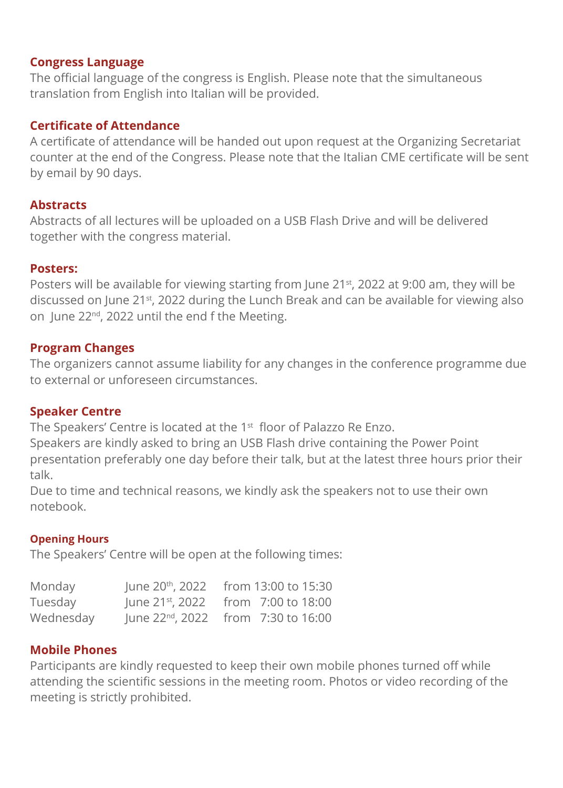#### **Congress Language**

The official language of the congress is English. Please note that the simultaneous translation from English into Italian will be provided.

#### **Certificate of Attendance**

A certificate of attendance will be handed out upon request at the Organizing Secretariat counter at the end of the Congress. Please note that the Italian CME certificate will be sent by email by 90 days.

#### **Abstracts**

Abstracts of all lectures will be uploaded on a USB Flash Drive and will be delivered together with the congress material.

#### **Posters:**

Posters will be available for viewing starting from June 21<sup>st</sup>, 2022 at 9:00 am, they will be discussed on June 21st, 2022 during the Lunch Break and can be available for viewing also on June 22nd, 2022 until the end f the Meeting.

#### **Program Changes**

The organizers cannot assume liability for any changes in the conference programme due to external or unforeseen circumstances.

#### **Speaker Centre**

The Speakers' Centre is located at the 1<sup>st</sup> floor of Palazzo Re Enzo.

Speakers are kindly asked to bring an USB Flash drive containing the Power Point presentation preferably one day before their talk, but at the latest three hours prior their talk.

Due to time and technical reasons, we kindly ask the speakers not to use their own notebook.

#### **Opening Hours**

The Speakers' Centre will be open at the following times:

| Monday    | June 20th, 2022 from 13:00 to 15:30        |
|-----------|--------------------------------------------|
| Tuesday   | June $21^{st}$ , 2022 from 7:00 to 18:00   |
| Wednesday | June $22^{nd}$ , $2022$ from 7:30 to 16:00 |

#### **Mobile Phones**

Participants are kindly requested to keep their own mobile phones turned off while attending the scientific sessions in the meeting room. Photos or video recording of the meeting is strictly prohibited.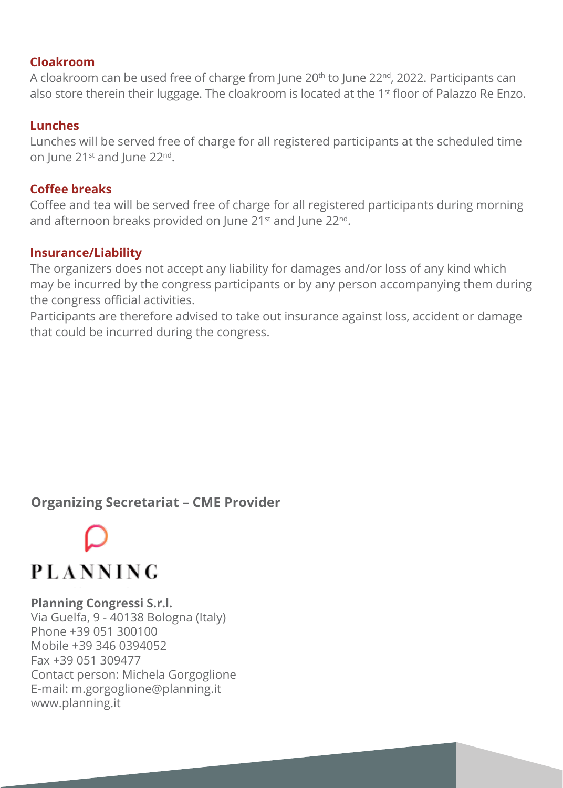#### **Cloakroom**

A cloakroom can be used free of charge from June 20th to June 22nd, 2022. Participants can also store therein their luggage. The cloakroom is located at the  $1<sup>st</sup>$  floor of Palazzo Re Enzo.

#### **Lunches**

Lunches will be served free of charge for all registered participants at the scheduled time on June 21<sup>st</sup> and June 22<sup>nd</sup>.

#### **Coffee breaks**

Coffee and tea will be served free of charge for all registered participants during morning and afternoon breaks provided on June 21<sup>st</sup> and June 22<sup>nd</sup>.

#### **Insurance/Liability**

The organizers does not accept any liability for damages and/or loss of any kind which may be incurred by the congress participants or by any person accompanying them during the congress official activities.

Participants are therefore advised to take out insurance against loss, accident or damage that could be incurred during the congress.

#### **Organizing Secretariat – CME Provider**

### **PLANNING**

#### **Planning Congressi S.r.l.**

Via Guelfa, 9 - 40138 Bologna (Italy) Phone +39 051 300100 Mobile +39 346 0394052 Fax +39 051 309477 Contact person: Michela Gorgoglione E-mail: m.gorgoglione@planning.it www.planning.it